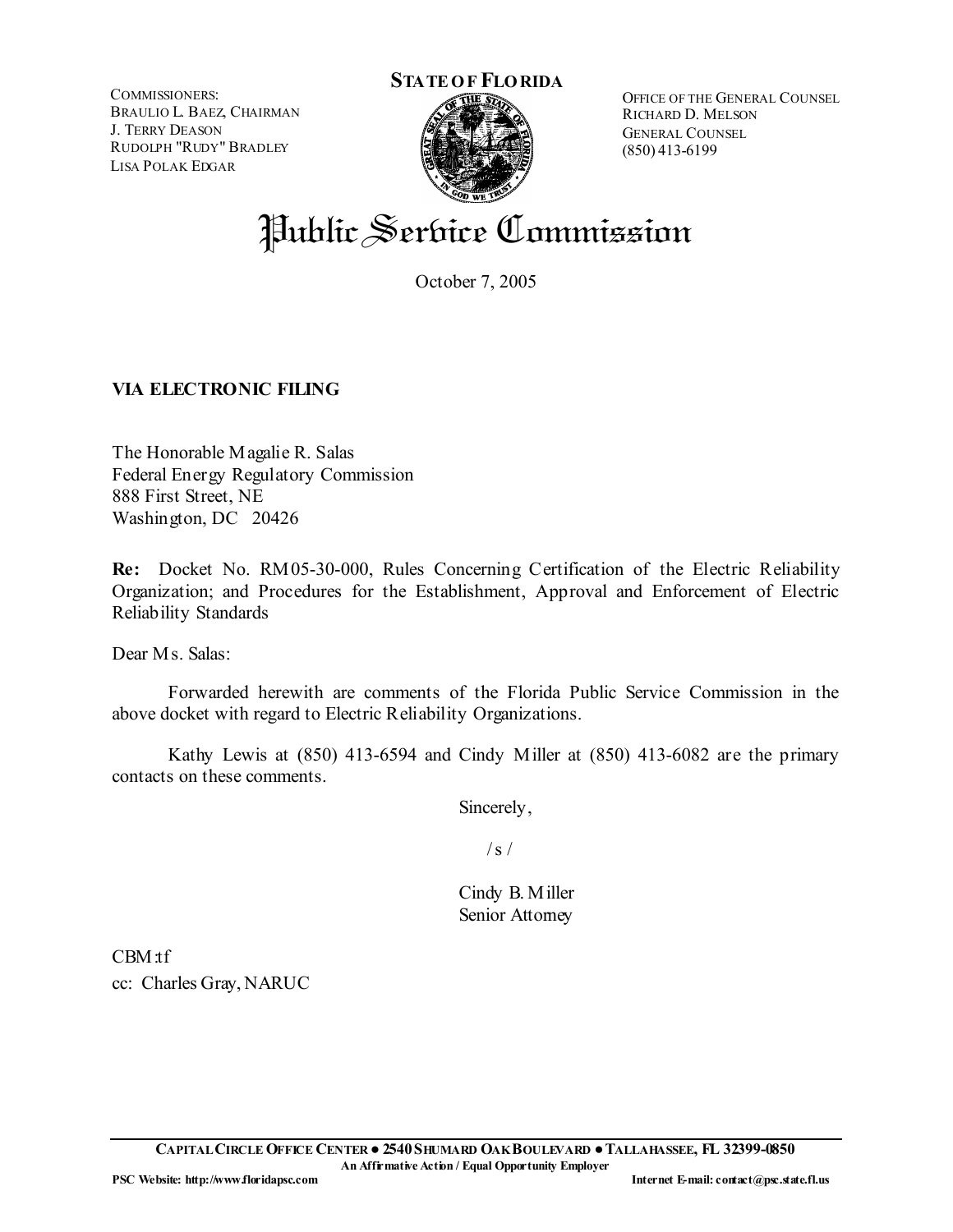COMMISSIONERS: BRAULIO L. BAEZ, CHAIRMAN J. TERRY DEASON RUDOLPH "RUDY" BRADLEY LISA POLAK EDGAR



OFFICE OF THE GENERAL COUNSEL RICHARD D. MELSON GENERAL COUNSEL (850) 413-6199

# Public Service Commission

October 7, 2005

# **VIA ELECTRONIC FILING**

The Honorable Magalie R. Salas Federal Energy Regulatory Commission 888 First Street, NE Washington, DC 20426

**Re:** Docket No. RM05-30-000, Rules Concerning Certification of the Electric Reliability Organization; and Procedures for the Establishment, Approval and Enforcement of Electric Reliability Standards

Dear Ms. Salas:

 Forwarded herewith are comments of the Florida Public Service Commission in the above docket with regard to Electric Reliability Organizations.

 Kathy Lewis at (850) 413-6594 and Cindy Miller at (850) 413-6082 are the primary contacts on these comments.

Sincerely,

 $/s/$ 

Cindy B. Miller Senior Attomey

CBM:tf cc: Charles Gray, NARUC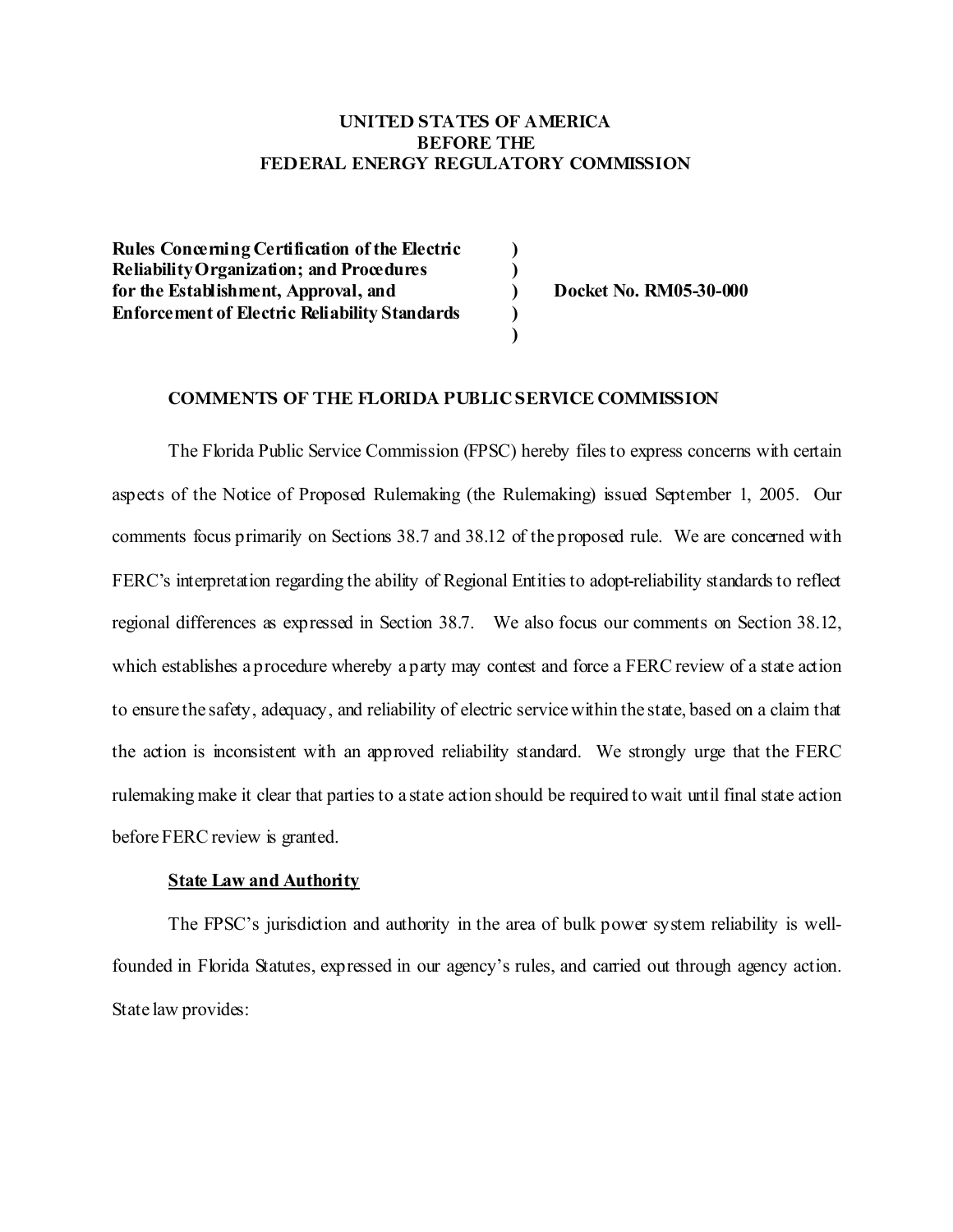## **UNITED STATES OF AMERICA BEFORE THE FEDERAL ENERGY REGULATORY COMMISSION**

**) ) ) ) )** 

**Rules Concerning Certification of the Electric Reliability Organization; and Procedures for the Establishment, Approval, and Enforcement of Electric Reliability Standards** 

**Docket No. RM05-30-000** 

#### **COMMENTS OF THE FLORIDA PUBLIC SERVICE COMMISSION**

The Florida Public Service Commission (FPSC) hereby files to express concerns with certain aspects of the Notice of Proposed Rulemaking (the Rulemaking) issued September 1, 2005. Our comments focus primarily on Sections 38.7 and 38.12 of the proposed rule. We are concerned with FERC's interpretation regarding the ability of Regional Entities to adopt reliability standards to reflect regional differences as expressed in Section 38.7. We also focus our comments on Section 38.12, which establishes a procedure whereby a party may contest and force a FERC review of a state action to ensure the safety, adequacy, and reliability of electric service within the state, based on a claim that the action is inconsistent with an approved reliability standard. We strongly urge that the FERC rulemaking make it clear that parties to a state action should be required to wait until final state action before FERC review is granted.

#### **State Law and Authority**

The FPSC's jurisdiction and authority in the area of bulk power system reliability is wellfounded in Florida Statutes, expressed in our agency's rules, and carried out through agency action. State law provides: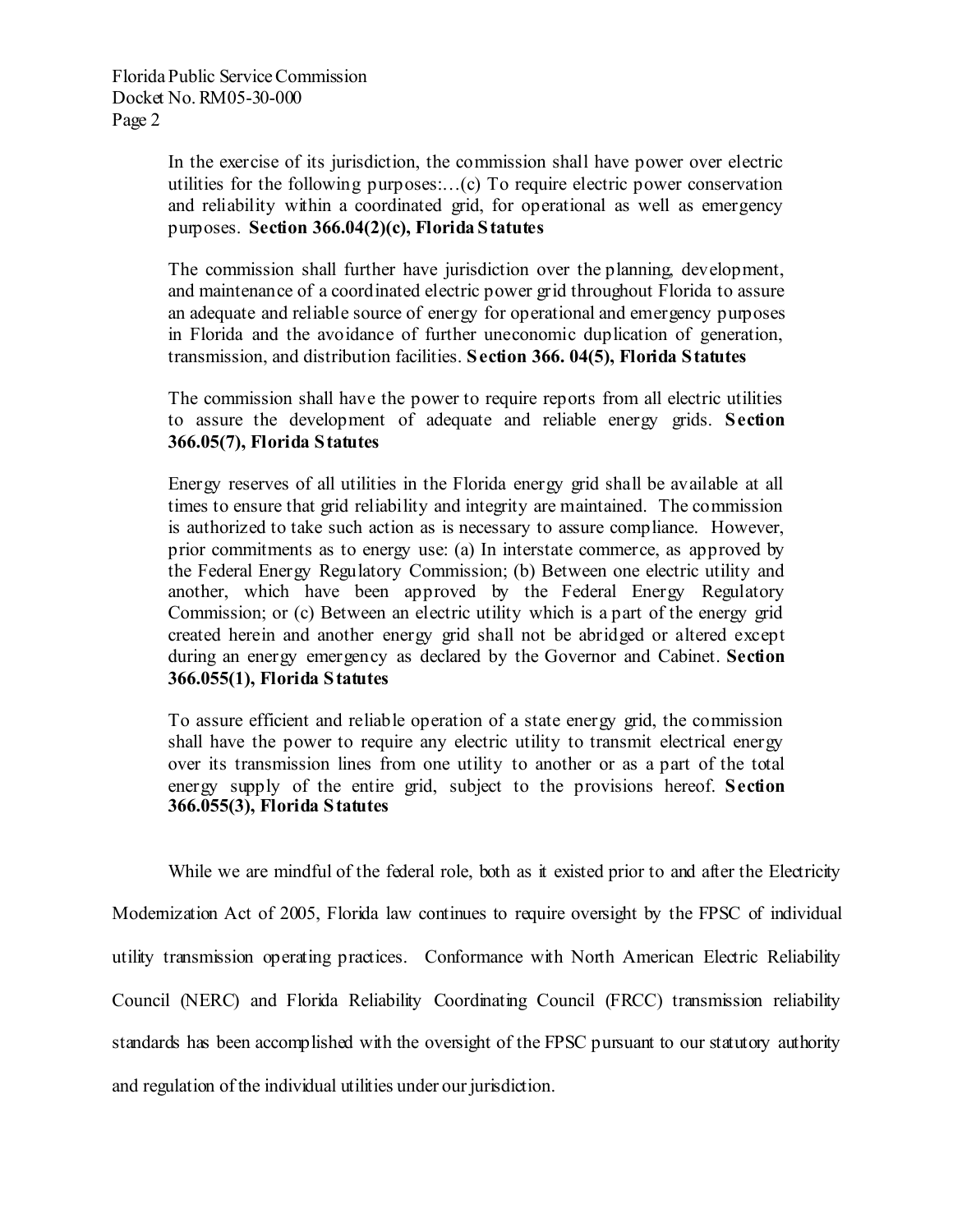In the exercise of its jurisdiction, the commission shall have power over electric utilities for the following purposes:…(c) To require electric power conservation and reliability within a coordinated grid, for operational as well as emergency purposes. **Section 366.04(2)(c), Florida Statutes** 

The commission shall further have jurisdiction over the planning, development, and maintenance of a coordinated electric power grid throughout Florida to assure an adequate and reliable source of energy for operational and emergency purposes in Florida and the avoidance of further uneconomic duplication of generation, transmission, and distribution facilities. **Section 366. 04(5), Florida Statutes** 

The commission shall have the power to require reports from all electric utilities to assure the development of adequate and reliable energy grids. **Section 366.05(7), Florida Statutes**

Energy reserves of all utilities in the Florida energy grid shall be available at all times to ensure that grid reliability and integrity are maintained. The commission is authorized to take such action as is necessary to assure compliance. However, prior commitments as to energy use: (a) In interstate commerce, as approved by the Federal Energy Regulatory Commission; (b) Between one electric utility and another, which have been approved by the Federal Energy Regulatory Commission; or (c) Between an electric utility which is a part of the energy grid created herein and another energy grid shall not be abridged or altered except during an energy emergency as declared by the Governor and Cabinet. **Section 366.055(1), Florida Statutes**

To assure efficient and reliable operation of a state energy grid, the commission shall have the power to require any electric utility to transmit electrical energy over its transmission lines from one utility to another or as a part of the total energy supply of the entire grid, subject to the provisions hereof. **Section 366.055(3), Florida Statutes**

While we are mindful of the federal role, both as it existed prior to and after the Electricity Modernization Act of 2005, Florida law continues to require oversight by the FPSC of individual utility transmission operating practices. Conformance with North American Electric Reliability Council (NERC) and Florida Reliability Coordinating Council (FRCC) transmission reliability standards has been accomplished with the oversight of the FPSC pursuant to our statutory authority and regulation of the individual utilities under our jurisdiction.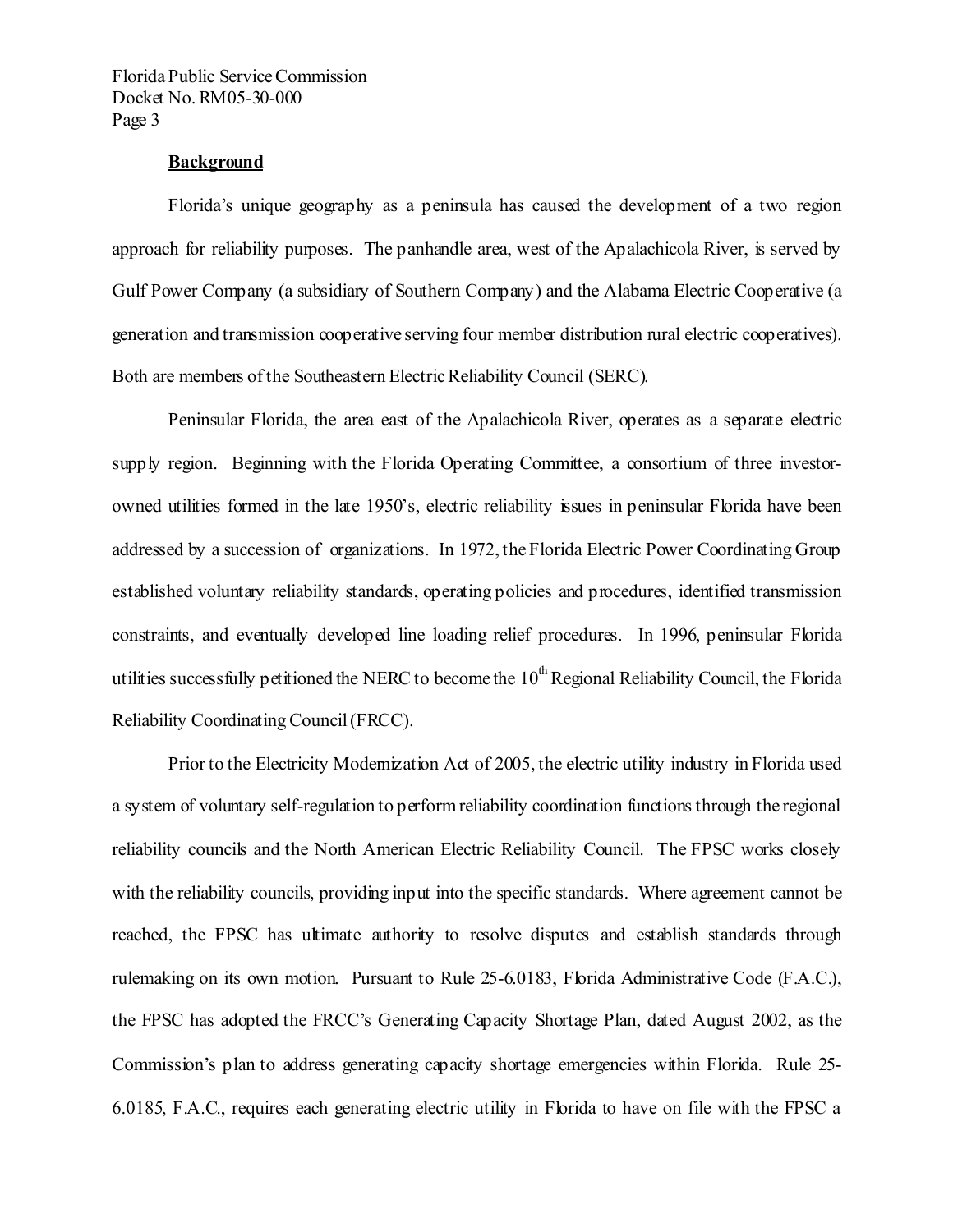### **Background**

Florida's unique geography as a peninsula has caused the development of a two region approach for reliability purposes. The panhandle area, west of the Apalachicola River, is served by Gulf Power Company (a subsidiary of Southern Company) and the Alabama Electric Cooperative (a generation and transmission cooperative serving four member distribution rural electric cooperatives). Both are members of the Southeastern Electric Reliability Council (SERC).

Peninsular Florida, the area east of the Apalachicola River, operates as a separate electric supply region. Beginning with the Florida Operating Committee, a consortium of three investorowned utilities formed in the late 1950's, electric reliability issues in peninsular Florida have been addressed by a succession of organizations. In 1972, the Florida Electric Power Coordinating Group established voluntary reliability standards, operating policies and procedures, identified transmission constraints, and eventually developed line loading relief procedures. In 1996, peninsular Florida utilities successfully petitioned the NERC to become the  $10<sup>th</sup>$  Regional Reliability Council, the Florida Reliability Coordinating Council (FRCC).

Prior to the Electricity Modernization Act of 2005, the electric utility industry in Florida used a system of voluntary self-regulation to perform reliability coordination functions through the regional reliability councils and the North American Electric Reliability Council. The FPSC works closely with the reliability councils, providing input into the specific standards. Where agreement cannot be reached, the FPSC has ultimate authority to resolve disputes and establish standards through rulemaking on its own motion. Pursuant to Rule 25-6.0183, Florida Administrative Code (F.A.C.), the FPSC has adopted the FRCC's Generating Capacity Shortage Plan, dated August 2002, as the Commission's plan to address generating capacity shortage emergencies within Florida. Rule 25- 6.0185, F.A.C., requires each generating electric utility in Florida to have on file with the FPSC a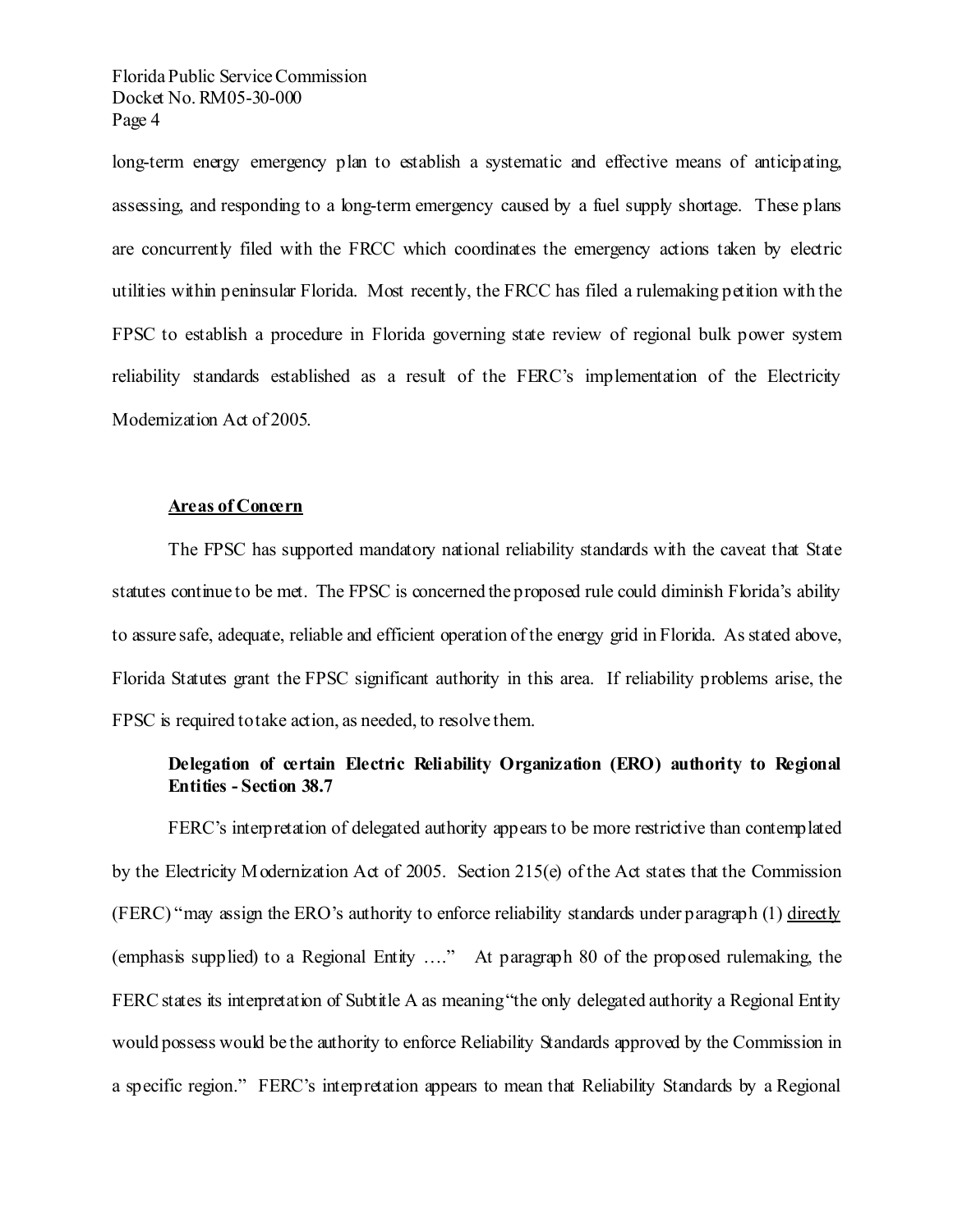long-term energy emergency plan to establish a systematic and effective means of anticipating, assessing, and responding to a long-term emergency caused by a fuel supply shortage. These plans are concurrently filed with the FRCC which coordinates the emergency actions taken by electric utilities within peninsular Florida. Most recently, the FRCC has filed a rulemaking petition with the FPSC to establish a procedure in Florida governing state review of regional bulk power system reliability standards established as a result of the FERC's implementation of the Electricity Modemization Act of 2005.

#### **Areas of Concern**

The FPSC has supported mandatory national reliability standards with the caveat that State statutes continue to be met. The FPSC is concerned the proposed rule could diminish Florida's ability to assure safe, adequate, reliable and efficient operation of the energy grid in Florida. As stated above, Florida Statutes grant the FPSC significant authority in this area. If reliability problems arise, the FPSC is required to take action, as needed, to resolve them.

# **Delegation of certain Electric Reliability Organization (ERO) authority to Regional Entities - Section 38.7**

FERC's interpretation of delegated authority appears to be more restrictive than contemplated by the Electricity Modernization Act of 2005. Section 215(e) of the Act states that the Commission (FERC) "may assign the ERO's authority to enforce reliability standards under paragraph (1) directly (emphasis supplied) to a Regional Entity …." At paragraph 80 of the proposed rulemaking, the FERC states its interpretation of Subtitle A as meaning "the only delegated authority a Regional Entity would possess would be the authority to enforce Reliability Standards approved by the Commission in a specific region." FERC's interpretation appears to mean that Reliability Standards by a Regional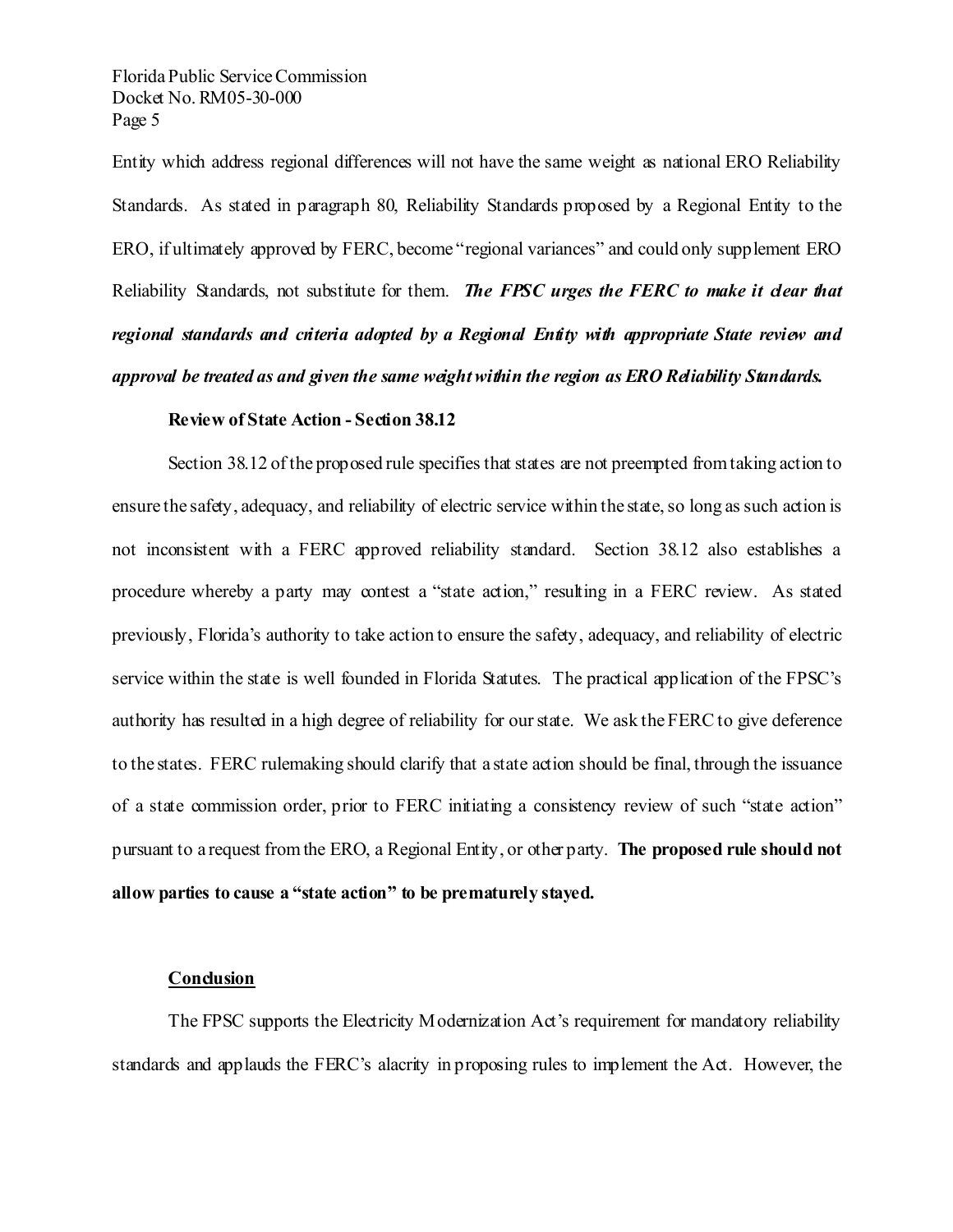Entity which address regional differences will not have the same weight as national ERO Reliability Standards. As stated in paragraph 80, Reliability Standards proposed by a Regional Entity to the ERO, if ultimately approved by FERC, become "regional variances" and could only supplement ERO Reliability Standards, not substitute for them. *The FPSC urges the FERC to make it dear that regional standards and criteria adopted by a Regional Entity with appropriate State review and approval be treated as and given the same weight within the region as ERO Reliability Standards.* 

#### **Review of State Action - Section 38.12**

Section 38.12 of the proposed rule specifies that states are not preempted from taking action to ensure the safety, adequacy, and reliability of electric service within the state, so long as such action is not inconsistent with a FERC approved reliability standard. Section 38.12 also establishes a procedure whereby a party may contest a "state action," resulting in a FERC review. As stated previously, Florida's authority to take action to ensure the safety, adequacy, and reliability of electric service within the state is well founded in Florida Statutes. The practical application of the FPSC's authority has resulted in a high degree of reliability for our state. We ask the FERC to give deference to the states. FERC rulemaking should clarify that a state action should be final, through the issuance of a state commission order, prior to FERC initiating a consistency review of such "state action" pursuant to a request from the ERO, a Regional Entity, or other party. **The proposed rule should not allow parties to cause a "state action" to be prematurely stayed.**

### **Conclusion**

The FPSC supports the Electricity Modernization Act's requirement for mandatory reliability standards and applauds the FERC's alacrity in proposing rules to implement the Act. However, the